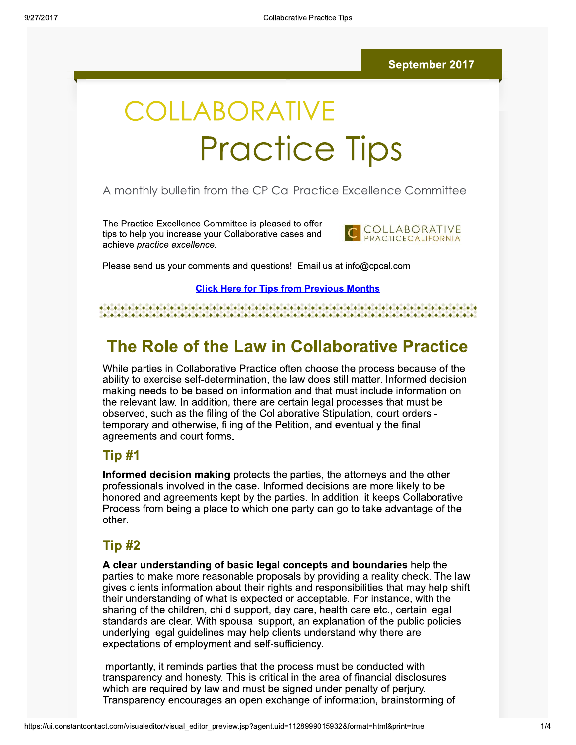# COLLABORATIVE **Practice Tips**

#### A monthly bulletin from the CP Cal Practice Excellence Committee

The Practice Excellence Committee is pleased to offer tips to help you increase your Collaborative cases and achieve practice excellence.



Please send us your comments and questions! Email us at info@cpcal.com

**Click Here for Tips from Previous Months** 

#### 

## The Role of the Law in Collaborative Practice

While parties in Collaborative Practice often choose the process because of the ability to exercise self-determination, the law does still matter. Informed decision making needs to be based on information and that must include information on the relevant law. In addition, there are certain legal processes that must be observed, such as the filing of the Collaborative Stipulation, court orders temporary and otherwise, filing of the Petition, and eventually the final agreements and court forms.

#### Tip #1

Informed decision making protects the parties, the attorneys and the other professionals involved in the case. Informed decisions are more likely to be honored and agreements kept by the parties. In addition, it keeps Collaborative Process from being a place to which one party can go to take advantage of the other.

#### Tip #2

A clear understanding of basic legal concepts and boundaries help the parties to make more reasonable proposals by providing a reality check. The law gives clients information about their rights and responsibilities that may help shift their understanding of what is expected or acceptable. For instance, with the sharing of the children, child support, day care, health care etc., certain legal standards are clear. With spousal support, an explanation of the public policies underlying legal quidelines may help clients understand why there are expectations of employment and self-sufficiency.

Importantly, it reminds parties that the process must be conducted with transparency and honesty. This is critical in the area of financial disclosures which are required by law and must be signed under penalty of perjury. Transparency encourages an open exchange of information, brainstorming of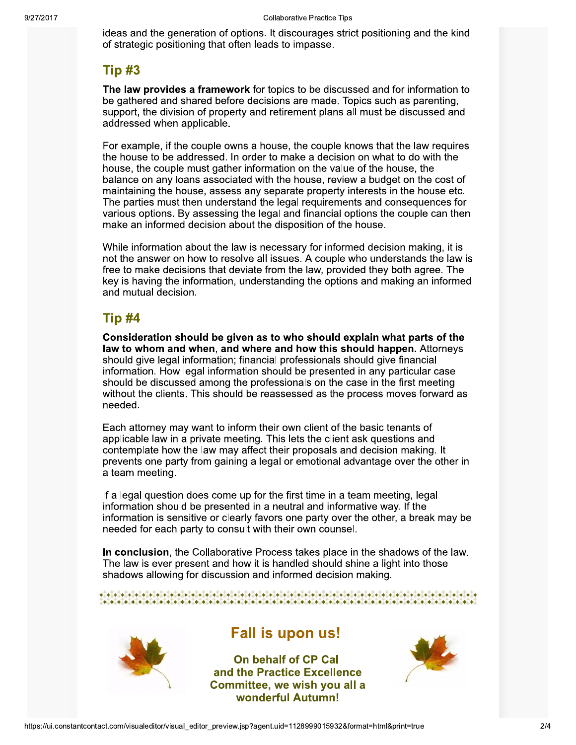ideas and the generation of options. It discourages strict positioning and the kind or strategic positioning that often leads to impasse.

### **Tip #3**

The law provides a framework for topics to be discussed and for information to be gathered and shared before decisions are made. Topics such as parenting, support, the division of property and retirement plans all must be discussed and addressed when applicable.

 $\mathbf{r}$ For example, if the couple owns a house, the couple knows that the law requires the house to be addressed. In order to make a decision on what to do with the  $\frac{1}{2}$ house, the couple must gather information on the value of the house, the  $\alpha$  balance on any loans associated with the house, review a budget on the cost of maintaining the nouse, assess any separate property interests in the nouse etc.<br>— The parties must then understand the legal requirements and consequences for various options. By assessing the legal and financial options the couple can then  $\overline{\phantom{a}}$ make an informed decision about the disposition of the house.

while information about the law is necessary for informed decision making, it is not the answer on how to resolve all issues. A couple who understands the law is free to make decisions that deviate from the law, provided they both agree. The key is having the information, understanding the options and making an informed and mutual decision.

#### **Tip #4**

Consideration should be given as to who should explain what parts of the law to whom and when, and where and how this should happen. Attorneys should give legal information; financial professionals should give financial μ, information. How legal information should be presented in any particular case should be discussed among the professionals on the case in the first meeting without the clients. This should be reassessed as the process moves forward as needed.

 $\mathbf{r}$ Each attorney may want to inform their own client of the basic tenants of applicable law in a private meeting. This lets the client ask questions and contemplate how the law may affect their proposals and decision making. It prevents one party from gaining a legal or emotional advantage over the other in a team meeting.

 $\mathbf{r}$ If a legal question does come up for the first time in a team meeting, legal  $\overline{\phantom{a}}$ information should be presented in a neutral and informative way. If the  $\overline{\phantom{a}}$ information is sensitive or clearly favors one party over the other, a break may be needed for each party to consuit with their own counsel.

In conclusion, the Collaborative Process takes place in the shadows of the law.<br>— The law is ever present and now it is handled should shine a light into those snadows allowing for discussion and informed decision making.

 $\bullet$  . A constant and a constant a constant a constant and a constant and a constant and a constant  $\bullet$ 



### Fall is upon us!

**Practice Excellence<br>Practice Excellence<br>
ee, we wish you all a<br>
derful Autumn!**<br>
gent.uid=1128999015932&format=html&print=tru P Cal<br>
xcellence<br>
h you all a<br>
umn!<br>
99015932&format=html&print=true<br>
2/4 On behalf of CP Cal and the Practice Excellence Committee, we wish you all a wonderful Autumn!

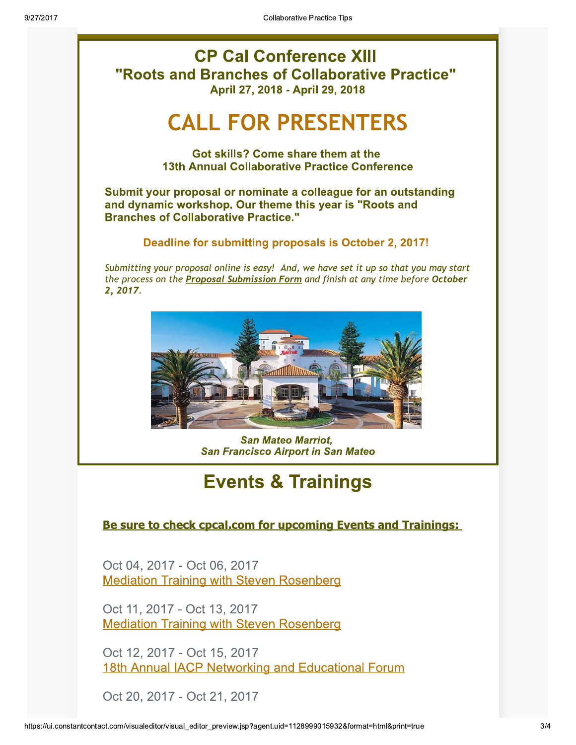

#### Be sure to check cpcal.com for upcoming Events and Trainings:

Oct 04, 2017 - Oct 06, 2017 **Mediation Training with Steven Rosenberg** 

Oct 11, 2017 - Oct 13, 2017 **Mediation Training with Steven Rosenberg** 

Oct 12, 2017 - Oct 15, 2017 18th Annual IACP Networking and Educational Forum

Oct 20, 2017 - Oct 21, 2017